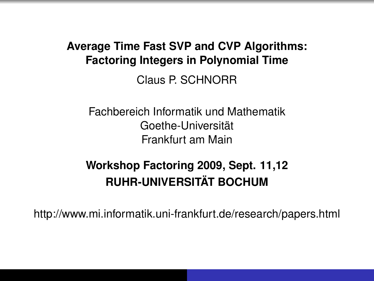#### **Average Time Fast SVP and CVP Algorithms: Factoring Integers in Polynomial Time** Claus P. SCHNORR

Fachbereich Informatik und Mathematik Goethe-Universität Frankfurt am Main

#### **Workshop Factoring 2009, Sept. 11,12 RUHR-UNIVERSITÄT BOCHUM**

http://www.mi.informatik.uni-frankfurt.de/research/papers.html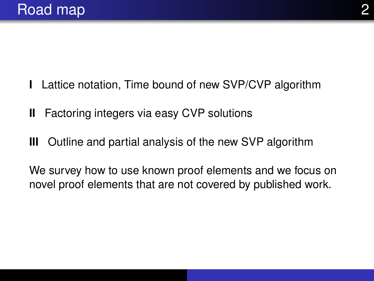- **I** Lattice notation, Time bound of new SVP/CVP algorithm
- **II** Factoring integers via easy CVP solutions
- **III** Outline and partial analysis of the new SVP algorithm

We survey how to use known proof elements and we focus on novel proof elements that are not covered by published work.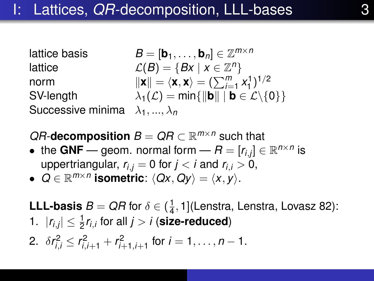$B = [\mathbf{b}_1, \dots, \mathbf{b}_n] \in \mathbb{Z}^{m \times n}$ lattice  $\mathcal{L}(B) = \{Bx \mid x \in \mathbb{Z}^n\}$ norm  $\|\mathbf{x}\| = \langle \mathbf{x}, \mathbf{x} \rangle = (\sum_{i=1}^{m} x_i^1)^{1/2}$ SV-length  $\lambda_1(\mathcal{L}) = \min{\{\|\mathbf{b}\| \mid \mathbf{b} \in \mathcal{L}\setminus\{0\}\}}$ Successive minima λ1, ..., λ*<sup>n</sup>*

*QR*-**decomposition**  $B = QR \subset \mathbb{R}^{m \times n}$  such that

- the GNF geom. normal form  $R = [r_{i,j}] \in \mathbb{R}^{n \times n}$  is uppertriangular,  $r_{i,j} = 0$  for  $j < i$  and  $r_{i,j} > 0$ ,
- $Q \in \mathbb{R}^{m \times n}$  isometric:  $\langle Qx, Qy \rangle = \langle x, y \rangle$ .

**LLL-basis**  $B=$  QR for  $\delta \in (\frac{1}{4})$  $\frac{1}{4}$ , 1](Lenstra, Lenstra, Lovasz 82): 1.  $|r_{i,j}| \leq \frac{1}{2}r_{i,i}$  for all  $j > i$  (size-reduced) 2.  $\delta r_{i,i}^2 \leq r_{i,i+1}^2 + r_{i+1,i+1}^2$  for  $i = 1, \ldots, n-1$ .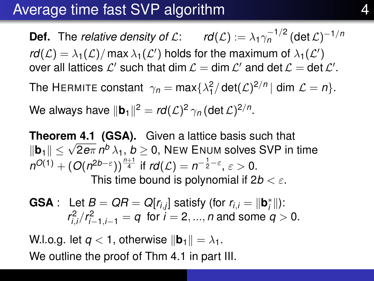### Average time fast SVP algorithm 4

**Def.** The *relative density of L*:  $rd(\mathcal{L}) := \lambda_1 \gamma_n^{-1/2}$  (det  $\mathcal{L}$ )<sup>-1/*n*</sup>  $\mathsf{rd}(\mathcal{L}) = \lambda_1(\mathcal{L})/\max \lambda_1(\mathcal{L}')$  holds for the maximum of  $\lambda_1(\mathcal{L}')$ over all lattices  $\mathcal{L}'$  such that dim  $\mathcal{L} =$  dim  $\mathcal{L}'$  and det  $\mathcal{L} =$  det  $\mathcal{L}'$ . The HERMITE constant  $\gamma_n = \max\{\lambda_1^2/\det(\mathcal{L})^{2/n} \mid \text{dim }\mathcal{L} = n\}.$ 

We always have  $\|\mathbf{b}_1\|^2 = r d(\mathcal{L})^2 \gamma_n (\det \mathcal{L})^{2/n}$ .

**Theorem 4.1 (GSA).** Given a lattice basis such that **i** heorem 4.1 (GSA). Given a lattice basis such that  $||\mathbf{b}_1|| \leq \sqrt{2e\pi} n^b \lambda_1$ ,  $b \geq 0$ , NEW ENUM solves SVP in time  $n^{O(1)} + (O(n^{2b-\varepsilon}))^{\frac{n+1}{4}}$  if  $rd(\mathcal{L}) = n^{-\frac{1}{2}-\varepsilon}, \varepsilon > 0.$ This time bound is polynomial if 2*b* < ε.

**GSA** : Let  $B = QR = Q[r_{i,j}]$  satisfy (for  $r_{i,i} = ||\mathbf{b}_i^*||$ ):  $r_{i,i}^2/r_{i-1,i-1}^2 = q$  for  $i = 2, ..., n$  and some  $q > 0$ .

W.l.o.g. let  $q < 1$ , otherwise  $\|\mathbf{b}_1\| = \lambda_1$ . We outline the proof of Thm 4.1 in part III.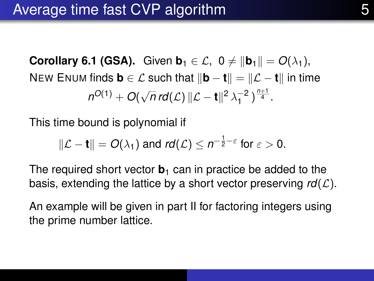**Corollary 6.1 (GSA).** Given  $\mathbf{b}_1 \in \mathcal{L}$ ,  $0 \neq ||\mathbf{b}_1|| = O(\lambda_1)$ , NEW ENUM finds  $\mathbf{b} \in \mathcal{L}$  such that  $\|\mathbf{b} - \mathbf{t}\| = \|\mathcal{L} - \mathbf{t}\|$  in time  $n^{O(1)} + O(\sqrt{1})$  $\overline{n}$  rd(L)  $\Vert \mathcal{L} - \mathbf{t} \Vert^2 \, \lambda_1^{-2}$  $\binom{-2}{1}$  $\frac{n+1}{4}$ .

This time bound is polynomial if

$$
\|\mathcal{L}-\mathbf{t}\|=O(\lambda_1) \text{ and } rd(\mathcal{L})\leq n^{-\frac{1}{2}-\varepsilon} \text{ for } \varepsilon>0.
$$

The required short vector  **can in practice be added to the** basis, extending the lattice by a short vector preserving  $rd(\mathcal{L})$ .

An example will be given in part II for factoring integers using the prime number lattice.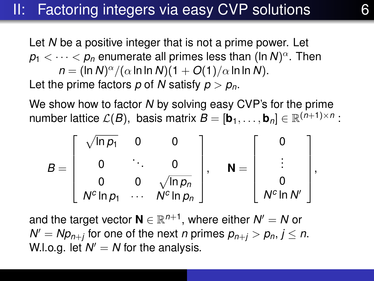### II: Factoring integers via easy CVP solutions

Let *N* be a positive integer that is not a prime power. Let  $\rho_1<\dots<\rho_n$  enumerate all primes less than (ln  $N)^\alpha.$  Then  $n = (\ln N)^\alpha/(\alpha \ln \ln N)(1 + O(1)/\alpha \ln \ln N).$ Let the prime factors *p* of *N* satisfy  $p > p_n$ .

We show how to factor *N* by solving easy CVP's for the prime number lattice  $\mathcal{L}(B)$ , basis matrix  $B = [\mathbf{b}_1, \dots, \mathbf{b}_n] \in \mathbb{R}^{(n+1) \times n}$  :

$$
B = \begin{bmatrix} \sqrt{\ln p_1} & 0 & 0 \\ 0 & \ddots & 0 \\ 0 & 0 & \sqrt{\ln p_n} \\ N^c \ln p_1 & \cdots & N^c \ln p_n \end{bmatrix}, \quad N = \begin{bmatrix} 0 \\ \vdots \\ 0 \\ N^c \ln N' \end{bmatrix},
$$

and the target vector  $\textbf{N} \in \mathbb{R}^{n+1},$  where either  $\textbf{\textit{N}}'= \textbf{\textit{N}}$  or  $N' = Np_{n+j}$  for one of the next *n* primes  $p_{n+j} > p_n$ ,  $j \leq n$ . W.l.o.g. let  $N' = N$  for the analysis.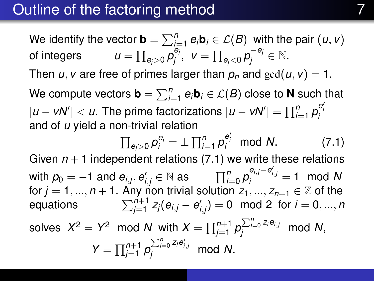We identify the vector  $\mathbf{b} = \sum_{i=1}^n e_i \mathbf{b}_i \in \mathcal{L}(B)$  with the pair  $(u, v)$ of integers  $\prod_{e_j>0}\rho_j^{e_j}$  $\int_j^{e_j},\;\; \mathsf{v}=\prod_{e_j<0}\rho_j^{-e_j}$  $j^{-e_j} \in \mathbb{N}.$ Then *u*, *v* are free of primes larger than  $p_n$  and  $gcd(u, v) = 1$ . We compute vectors  $\textbf{b} = \sum_{i=1}^n e_i \textbf{b}_i \in \mathcal{L}(B)$  close to  $\textbf{N}$  such that  $|u - vN'| < u$ . The prime factorizations  $|u - vN'| = \prod_{i=1}^n \rho_i^{e_i'}$ and of *u* yield a non-trivial relation

$$
\prod_{e_i>0}p_i^{e_i}=\pm\prod_{i=1}^n p_i^{e'_i} \mod N. \hspace{1cm} (7.1)
$$

Given  $n + 1$  independent relations (7.1) we write these relations  $p_0 = -1$  and  $e_{i,j}, e'_{i,j} \in \mathbb{N}$  as  $\prod_{i=0}^n \rho_i^{\mathbf{e}_{i,j}-\mathbf{e}'_{i,j}} = 1 \mod \mathsf{N}$ for  $j = 1, ..., n + 1$ . Any non trivial solution  $z_1, ..., z_{n+1} \in \mathbb{Z}$  of the  $e$ <sub>quations</sub>  $j_{j=1}^{n+1}$  z $_{j}^{}(e_{i,j}-e'_{i,j}^{})=0\mod 2\ \ \text{for}\ i=0,...,n$ solves  $X^2 = Y^2$  mod  $N$  with  $X = \prod_{j=1}^{n+1} \rho_j^{\sum_{i=0}^n z_i \mathbf{e}_{i,j}}$  mod  $N$ ,

$$
Y=\prod_{j=1}^{n+1}p_j^{\sum_{i=0}^n z_i e'_{i,j}} \mod N.
$$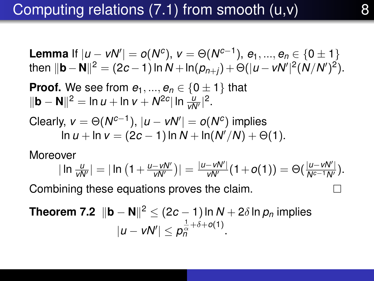**Lemma** If 
$$
|u - vN'| = o(N^c)
$$
,  $v = \Theta(N^{c-1})$ ,  $e_1, ..., e_n \in \{0 \pm 1\}$   
then  $||\mathbf{b} - \mathbf{N}||^2 = (2c - 1) \ln N + \ln(p_{n+j}) + \Theta(|u - vN'|^2 (N/N')^2)$ .  
**Proof.** We see from  $e_1, ..., e_n \in \{0 \pm 1\}$  that  
 $||\mathbf{b} - \mathbf{N}||^2 = \ln u + \ln v + N^{2c} |\ln \frac{u}{\sqrt{N'}}|^2$ .  
Clearly,  $v = \Theta(N^{c-1})$ ,  $|u - vN'| = o(N^c)$  implies  
 $\ln u + \ln v = (2c - 1) \ln N + \ln(N'/N) + \Theta(1)$ .

Moreover

$$
|\ln \frac{u}{vN'}| = |\ln (1 + \frac{u - vN'}{vN'})| = \frac{|u - vN'|}{vN'}(1 + o(1)) = \Theta(\frac{|u - vN'|}{N^{c-1}N'}).
$$

Combining these equations proves the claim.

**Theorem 7.2** 
$$
\|\mathbf{b} - \mathbf{N}\|^2 \le (2c - 1) \ln N + 2\delta \ln p_n \text{ implies}
$$

$$
|u - vN'| \le p_n^{\frac{1}{\alpha} + \delta + o(1)}.
$$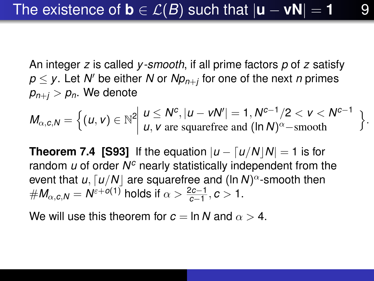An integer *z* is called *y -smooth*, if all prime factors *p* of *z* satisfy  $\rho \leq$   $y$ . Let  $N'$  be either  $N$  or  $Np_{n+j}$  for one of the next  $n$  primes  $p_{n+i} > p_n$ . We denote

 $M_{\alpha,\text{c},N} = \left\{ (u, v) \in \mathbb{N}^2 \middle| \begin{array}{l} u \leq N^c, |u - vN'| = 1, N^{c-1}/2 < v < N^{c-1} \\ u, v \text{ are squarefree and (ln N)} \leq N^{c} \end{array} \right\}$  $u \le N^c$ ,  $|u - v/v'| = 1$ ,  $N^{c-1}/2 < v < N^{c-1}$ <br> *u*, *v* are squarefree and  $(\ln N)^{\alpha}$  – smooth

**Theorem 7.4 [S93]** If the equation  $|u - \frac{u}{N} \leq 1$  is for random u of order N<sup>c</sup> nearly statistically independent from the event that  $u$ ,  $\lceil u/N \rceil$  are squarefree and (ln  $N)^\alpha$ -smooth then  $\#M_{\alpha,c,N} = N^{\varepsilon+o(1)}$  holds if  $\alpha > \frac{2c-1}{c-1}, c > 1$ .

We will use this theorem for  $c = \ln N$  and  $\alpha > 4$ .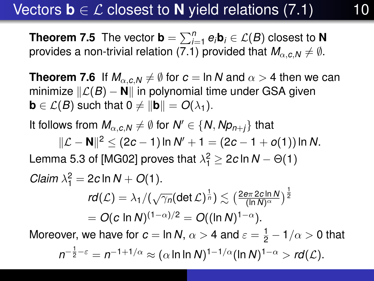## Vectors  $\mathbf{b} \in \mathcal{L}$  closest to **N** yield relations (7.1) 10

**Theorem 7.5** The vector  $\mathbf{b} = \sum_{i=1}^{n} e_i \mathbf{b}_i \in \mathcal{L}(B)$  closest to **N** provides a non-trivial relation (7.1) provided that  $M_{\alpha, c, N} \neq \emptyset$ .

**Theorem 7.6** If  $M_{\alpha,c,N} \neq \emptyset$  for  $c = \ln N$  and  $\alpha > 4$  then we can minimize  $\Vert \mathcal{L}(B) - \mathbf{N} \Vert$  in polynomial time under GSA given  $\mathbf{b} \in \mathcal{L}(B)$  such that  $0 \neq ||\mathbf{b}|| = O(\lambda_1)$ .

It follows from  $M_{\alpha,c,N}\neq \emptyset$  for  $\mathcal{N}'\in\{\mathcal{N},\mathcal{N}\!\rho_{n+j}\}$  that

kL − **N**k <sup>2</sup> ≤ (2*c* − 1)ln *N* <sup>0</sup> + 1 = (2*c* − 1 + *o*(1))ln *N*. Lemma 5.3 of [MG02] proves that  $\lambda_1^2 \geq 2c \ln N - \Theta(1)$ *Claim*  $\lambda_1^2 = 2c \ln N + O(1)$ .

$$
rd(\mathcal{L}) = \lambda_1/(\sqrt{\gamma_n}(\det \mathcal{L})^{\frac{1}{n}}) \lesssim \left(\frac{2e\pi 2c\ln N}{(\ln N)^{\alpha}}\right)^{\frac{1}{2}}
$$
  
=  $O(c \ln N)^{(1-\alpha)/2} = O((\ln N)^{1-\alpha}).$ 

Moreover, we have for  $c = \ln N$ ,  $\alpha > 4$  and  $\varepsilon = \frac{1}{2} - 1/\alpha > 0$  that

$$
n^{-\frac{1}{2}-\varepsilon}=n^{-1+1/\alpha}\approx(\alpha\ln\ln N)^{1-1/\alpha}(\ln N)^{1-\alpha}>r d(\mathcal{L}).
$$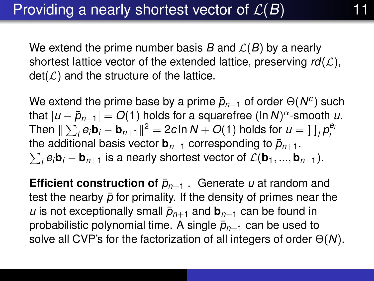We extend the prime number basis  $B$  and  $\mathcal{L}(B)$  by a nearly shortest lattice vector of the extended lattice, preserving  $rd(\mathcal{L})$ ,  $det(\mathcal{L})$  and the structure of the lattice.

We extend the prime base by a prime  $\bar{p}_{n+1}$  of order  $\Theta(N^c)$  such that  $|u - \bar{p}_{n+1}| = O(1)$  holds for a squarefree (ln  $N)^\alpha$ -smooth  $u$ .  $\textsf{T}$ hen  $\| \sum_i e_i \mathsf{b}_i - \mathsf{b}_{n+1} \|^2 = 2c \ln N + O(1)$  holds for  $u = \prod_i \rho_i^{\mathsf{e}_i}$ the additional basis vector  $\mathbf{b}_{n+1}$  corresponding to  $\bar{p}_{n+1}$ . the additional basis vector  $\mathbf{b}_{n+1}$  corresponding to  $\bar{p}_{n+1}.$ <br> $\sum_i e_i \mathbf{b}_i - \mathbf{b}_{n+1}$  is a nearly shortest vector of  $\mathcal{L}(\mathbf{b}_1, ..., \mathbf{b}_{n+1}).$ 

**Efficient construction of**  $\bar{p}_{n+1}$ . Generate *u* at random and test the nearby  $\bar{p}$  for primality. If the density of primes near the *u* is not exceptionally small  $\bar{p}_{n+1}$  and  $\mathbf{b}_{n+1}$  can be found in probabilistic polynomial time. A single  $\bar{p}_{n+1}$  can be used to solve all CVP's for the factorization of all integers of order Θ(*N*).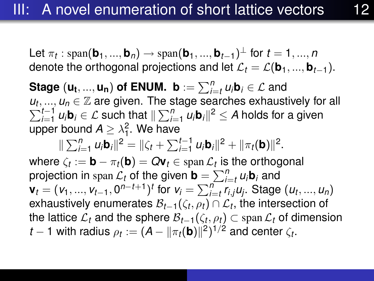Let  $\pi_t$  : span $(\mathbf{b}_1, ..., \mathbf{b}_n) \rightarrow \text{span}(\mathbf{b}_1, ..., \mathbf{b}_{t-1})^{\perp}$  for  $t = 1, ..., n$ denote the orthogonal projections and let  $\mathcal{L}_t = \mathcal{L}(\mathbf{b}_1, ..., \mathbf{b}_{t-1}).$ 

 ${\sf Stage}\left({\sf u}_{\sf t},...,{\sf u}_{\sf n}\right)$  of ENUM.  ${\sf b}:=\sum_{i=t}^n\iota_i{\sf b}_i\in{\cal L}$  and  $u_t$ , ...,  $u_n \in \mathbb{Z}$  are given. The stage searches exhaustively for all *u*<sub>t</sub>, ..., *u*<sub>*n*</sub> ∈ ℤ are given. The stage searches exhaustively for all  $\sum_{i=1}^{t-1} u_i$  **b**<sub>*i*</sub> ∈ *L* such that  $||\sum_{i=1}^{n} u_i$  **b**<sub>*i*</sub>  $||^2 \leq A$  holds for a given  $\sum_{i=1}^{t-1} u_i \mathsf{b}_i \in \mathcal{L}$  such that  $\Vert \sum_{i=1}^n u_i \mathsf{b}_i \Vert^2 \leq A$  holds for a given upper bound  $A \geq \lambda_1^2$ . We have

$$
\|\sum_{i=1}^n u_i \mathbf{b}_i\|^2 = \|\zeta_t + \sum_{i=1}^{t-1} u_i \mathbf{b}_i\|^2 + \|\pi_t(\mathbf{b})\|^2.
$$

where  $\zeta_t := \mathbf{b} - \pi_t(\mathbf{b}) = \boldsymbol{Q} \mathbf{v}_t \in \mathrm{span}\, \mathcal{L}_t$  is the orthogonal projection in span  $\mathcal{L}_t$  of the given  $\mathbf{b} = \sum_{i=t}^n u_i \mathbf{b}_i$  and  $\mathbf{v}_t=(v_1,...,v_{t-1},0^{n-t+1})^t$  for  $v_i=\sum_{i=t}^n r_{i,j}u_j$ . Stage  $(u_t,...,u_n)$ exhaustively enumerates  $\mathcal{B}_{t-1}(\zeta_t,\rho_t)\cap\mathcal{L}_t,$  the intersection of the lattice  $\mathcal{L}_t$  and the sphere  $\mathcal{B}_{t-1}(\zeta_t,\rho_t)\subset \mathrm{span}\, \mathcal{L}_t$  of dimension  $t-1$  with radius  $\rho_t := (A - \|\pi_t(\mathbf{b})\|^2)^{1/2}$  and center  $\zeta_t.$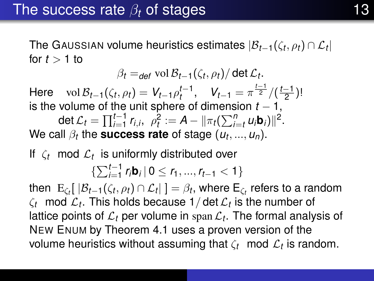The Gaussian volume heuristics estimates  $|\mathcal{B}_{t-1}(\zeta_t,\rho_t) \cap \mathcal{L}_t|$ for  $t > 1$  to

$$
\beta_t =_{def} \text{vol } \mathcal{B}_{t-1}(\zeta_t, \rho_t) / \det \mathcal{L}_t.
$$

Here  $vol B_{t-1}(\zeta_t, \rho_t) = V_{t-1} \rho_t^{t-1}, \quad V_{t-1} = \pi^{\frac{t-1}{2}} / (\frac{t-1}{2})$  $\frac{-1}{2}$ )! is the volume of the unit sphere of dimension  $t - 1$ ,

$$
\det \mathcal{L}_t = \prod_{i=1}^{t-1} r_{i,i}, \ \rho_t^2 := A - ||\pi_t(\sum_{i=t}^n u_i \mathbf{b}_i)||^2.
$$

We call  $\beta_t$  the **success rate** of stage  $(u_t, ..., u_n)$ .

If  $\zeta_t$  mod  $\mathcal{L}_t$  is uniformly distributed over

$$
\{\sum_{i=1}^{t-1} r_i \mathbf{b}_i \,|\, 0 \leq r_1, ..., r_{t-1} < 1\}
$$

then  $\mathrm{E}_{\zeta_t}[\ |\mathcal{B}_{t-1}(\zeta_t,\rho_t) \cap \mathcal{L}_t|\ ] = \beta_t,$  where  $\mathsf{E}_{\zeta_t}$  refers to a random  $\zeta_t$  mod  $\mathcal{L}_t.$  This holds because 1/ det  $\mathcal{L}_t$  is the number of lattice points of  $\mathcal{L}_t$  per volume in  $\operatorname{span}\mathcal{L}_t.$  The formal analysis of NEW ENUM by Theorem 4.1 uses a proven version of the volume heuristics without assuming that  $\zeta_t$  mod  $\mathcal{L}_t$  is random.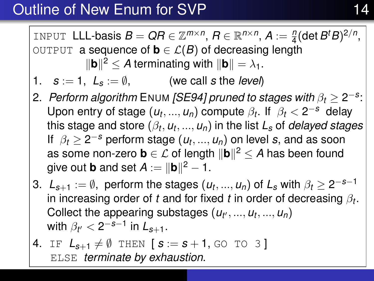### Outline of New Enum for SVP

INPUT LLL-basis  $B = QR \in \mathbb{Z}^{m \times n}$ ,  $R \in \mathbb{R}^{n \times n}$ ,  $A := \frac{n}{4} (\det B^t B)^{2/n}$ , OUTPUT a sequence of  $\mathbf{b} \in \mathcal{L}(B)$  of decreasing length  $\|\mathbf{b}\|^2 \leq A$  terminating with  $\|\mathbf{b}\| = \lambda_1$ . 1.  $s := 1$ .  $L<sub>s</sub> := \emptyset$ , (we call *s* the *level*) 2. *Perform algorithm* ENUM *[SE94] pruned to stages with* β*<sup>t</sup>* ≥ 2 −*s* : Upon entry of stage  $(u_t, ..., u_n)$  compute  $\beta_t$ . If  $\beta_t < 2^{-s}$  delay this stage and store (β*<sup>t</sup>* , *u<sup>t</sup>* , ..., *un*) in the list *L<sup>s</sup>* of *delayed stages* If  $\beta_t \geq 2^{-s}$  perform stage  $(u_t, ..., u_n)$  on level *s*, and as soon as some non-zero  $\textbf{b} \in \mathcal{L}$  of length  $\| \textbf{b} \|^2 \leq A$  has been found give out **b** and set  $A := ||\mathbf{b}||^2 - 1$ .

3.  $L_{s+1} := \emptyset$ , perform the stages  $(u_t, ..., u_n)$  of  $L_s$  with  $\beta_t \geq 2^{-s-1}$ in increasing order of  $t$  and for fixed  $t$  in order of decreasing  $\beta_t.$ Collect the appearing substages  $(u_{t'},...,u_t,...,u_n)$ with  $\beta_{t'} < 2^{-s-1}$  in  $L_{s+1}$ .

4. IF 
$$
L_{s+1} \neq \emptyset
$$
 THEN  $[s := s + 1, \text{GO TO 3}]$  **ELSE** *terminate by exhaustion.*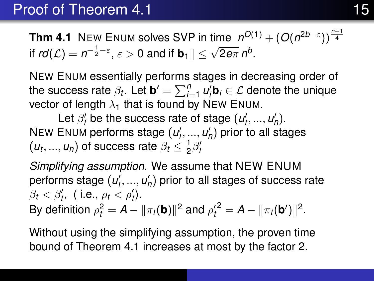### Proof of Theorem 4.1 15

**Thm 4.1** NEW ENUM solves SVP in time  $n^{O(1)} + (O(n^{2b-\varepsilon}))^{\frac{n+1}{4}}$ if  $rd(\mathcal{L}) = n^{-\frac{1}{2} - \varepsilon}, \varepsilon > 0$  and if  $\mathbf{b}_1 \parallel \leq \sqrt{2e\pi} n^b$ .

NEW ENUM essentially performs stages in decreasing order of the success rate  $\beta_t$ . Let  $\mathbf{b}' = \sum_{i=1}^n u'_i \mathbf{b}_i \in \mathcal{L}$  denote the unique vector of length  $\lambda_1$  that is found by NEW ENUM.

Let  $\beta'_{t}$  be the success rate of stage  $(u'_{t},...,u'_{n})$ . NEW ENUM performs stage  $(u'_t, ..., u'_n)$  prior to all stages  $(u_t, ..., u_n)$  of success rate  $\beta_t \leq \frac{1}{2}$  $\frac{1}{2}\beta'_t$ 

*Simplifying assumption.* We assume that NEW ENUM performs stage  $(u'_t, ..., u'_n)$  prior to all stages of success rate  $\beta_t < \beta'_t$ , ( i.e.,  $\rho_t < \rho'_t$ ). By definition  $\rho_t^2 = A - \|\pi_t(\mathbf{b})\|^2$  and  $\rho_t'^2 = A - \|\pi_t(\mathbf{b'})\|^2$ .

Without using the simplifying assumption, the proven time bound of Theorem 4.1 increases at most by the factor 2.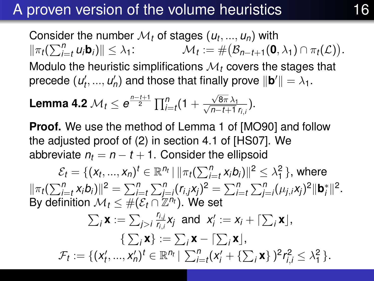#### A proven version of the volume heuristics 16

Consider the number  $\mathcal{M}_t$  of stages  $(\boldsymbol{\mathit{u}}_t, ..., \boldsymbol{\mathit{u}}_n)$  with  $\|\pi_t(\sum_{i=t}^n u_i \mathbf{b}_i)\| \leq \lambda_1$ :  $\mathcal{M}_t := \#(\mathcal{B}_{n-t+1}(\mathbf{0}, \lambda_1) \cap \pi_t(\mathcal{L}))$ . Modulo the heuristic simplifications M*<sup>t</sup>* covers the stages that precede  $(u'_t, ..., u'_n)$  and those that finally prove  $\|\mathbf{b}'\| = \lambda_1$ .

**Lemma 4.2** 
$$
\mathcal{M}_t \leq e^{\frac{n-t+1}{2}} \prod_{i=t}^n (1 + \frac{\sqrt{8\pi} \lambda_i}{\sqrt{n-t+1} r_{i,i}}).
$$

**Proof.** We use the method of Lemma 1 of [MO90] and follow the adjusted proof of (2) in section 4.1 of [HS07]. We abbreviate  $n_t = n - t + 1$ . Consider the ellipsoid

 $\mathcal{E}_t = \{(\textit{\textbf{x}}_t, ..., \textit{\textbf{x}}_n)^t \in \mathbb{R}^{n_t} \, | \, \|\pi_t(\sum_{i=t}^n \textit{\textbf{x}}_i\textit{\textbf{b}}_i)\|^2 \leq \lambda_1^2 \, \},$  where  $\|\pi_t(\sum_{i=t}^n x_i b_i)\|^2 = \sum_{i=t}^n \sum_{j=i}^n (r_{i,j} x_j)^2 = \sum_{i=t}^n \sum_{j=i}^n (\mu_{j,i} x_j)^2 \|\mathbf{b}_i^*\|^2.$ By definition  $\mathcal{M}_t \leq \#(\mathcal{E}_t \cap \mathbb{Z}^{\mathit{n}_t})$ . We set

$$
\sum_{i} \mathbf{x} := \sum_{j>i} \frac{r_{i,j}}{r_{i,i}} x_{j} \text{ and } x'_{i} := x_{i} + [\sum_{i} \mathbf{x}],
$$
  

$$
\{\sum_{i} \mathbf{x}\} := \sum_{i} \mathbf{x} - [\sum_{i} \mathbf{x}],
$$

$$
\mathcal{F}_{t} := \{(x'_{t}, ..., x'_{n})^{t} \in \mathbb{R}^{n_{t}} | \sum_{i=t}^{n} (x'_{i} + \{\sum_{i} \mathbf{x}\})^{2} r_{i,i}^{2} \leq \lambda_{1}^{2}\}.
$$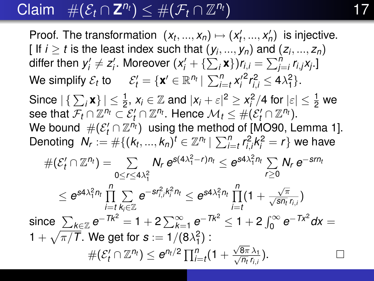# $\mathsf{Claim} \quad \#(\mathcal{E}_t \cap \mathsf{Z}^{n_t}) \leq \#(\mathcal{F}_t \cap \mathbb{Z})$

Proof. The transformation  $(x_t, ..., x_n) \mapsto (x'_t, ..., x'_n)$  is injective. [ If  $i \geq t$  is the least index such that  $(y_i, ..., y_n)$  and  $(z_i, ..., z_n)$  $\text{differ then } y_i' \neq z_i'.$  Moreover  $(x_i' + {\{\sum_i \mathbf{x}\}})r_{i,i} = \sum_{j=i}^n r_{i,j}x_j.$ We simplify  $\mathcal{E}_t$  to  $\qquad \mathcal{E}'_t = \{ \mathbf{x}' \in \mathbb{R}^{n_t} \, | \, \sum_{i=t}^n x'_i \}$  $2r_{i,j}^2 \leq 4\lambda_1^2$ . Since  $|\set{\sum_i \mathbf{x}}| \leq \frac{1}{2}$ ,  $x_i \in \mathbb{Z}$  and  $|x_i + \varepsilon|^2 \geq x_i^2/4$  for  $|\varepsilon| \leq \frac{1}{2}$  we  $\mathsf{see}$  that  $\mathcal{F}_t \cap \mathbb{Z}^{n_t} \subset \mathcal{E}'_t \cap \mathbb{Z}^{n_t}.$  Hence  $\mathcal{M}_t \leq \#(\mathcal{E}'_t \cap \mathbb{Z}^{n_t}).$ We bound  $\#(\mathcal{E}'_t \cap \mathbb{Z}^{n_t})$  using the method of [MO90, Lemma 1]. Denoting  $N_r := \# \{ (k_t, ..., k_n)^t \in \mathbb{Z}^{n_t} \mid \sum_{i=t}^n r_{i,i}^2 k_i^2 = r \}$  we have  $\#(\mathcal{E}'_t \cap \mathbb{Z}^{n_t}) = \sum_{\lambda} N_{\lambda} e^{s(4\lambda_1^2 - r)n_t} \leq e^{s4\lambda_1^2 n_t} \sum_{\lambda}$ 0≤*r*≤4λ 2 1 *r*≥0 *N<sup>r</sup> e* −*srn<sup>t</sup>*  $\leq e^{s4\lambda_1^2n_t}\prod^n$ *i*=*t*  $\sum$ *ki*∈Z  $e^{-s r_{i,i}^2 k_i^2 n_t} \leq e^{s 4 \lambda_1^2 n_t} \prod_{i=1}^n$ *i*=*t*  $(1 +$  $\frac{\sqrt{\pi}}{\sqrt{\textsf{sn}_t} r_{i,i}}$ since  $\sum_{k \in \mathbb{Z}} e^{-Tk^2} = 1 + 2 \sum_{k=1}^{\infty} e^{-Tk^2} \le 1 + 2 \int_{0}^{\infty} e^{-Tx^2} dx =$  $1 + \sqrt{\pi/T}$ . We get for  $s := 1/(8\lambda_1^2)$  :  $\#(\mathcal{E}'_t \cap \mathbb{Z}^{n_t}) \leq e^{n_t/2} \prod_{i=t}^n (1 +$ √  $\frac{\sqrt{8\pi\,\lambda_1}}{2}$  $\overline{n}_t$   $r_{i,j}$ ).  $\qquad \qquad \Box$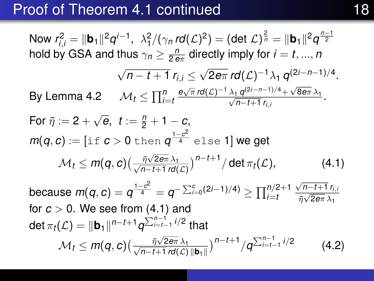#### Proof of Theorem 4.1 continued 18

Now  $r_{i,i}^2 = \|\mathbf{b}_1\|^2 q^{i-1}, \ \ \lambda_1^2/(\gamma_n \, rd(\mathcal{L})^2) = (\det \mathcal{L})^{\frac{2}{n}} = \|\mathbf{b}_1\|^2 q^{\frac{n-1}{2}}$ hold by GSA and thus  $\gamma_n \geq \frac{n}{2\, e \pi}$  directly imply for  $i=t,...,n$ √  $n - t + 1$   $r_{i,i}$  ≤ √  $\overline{2e\pi}$  *rd*( $\mathcal{L}$ )<sup>-1</sup> $\lambda$ <sub>1</sub>  $q^{(2i-n-1)/4}$ . By Lemma 4.2  $\mathcal{M}_t \leq \prod_{i=t}^n$  $e^{\sqrt{\pi} r d(\mathcal{L})^{-1} \lambda_1 q^{(2i-n-1)/4} + \sqrt{\lambda_1}}$  $\frac{\lambda_1 q^{(2l-n-1)/4} + \sqrt{8e}\pi \lambda_1}{\sqrt{2\pi} \lambda_1}$  $\frac{n}{n-t+1}$  *r*<sub>*i*,*i*</sub> For  $\bar{\eta} :=$  2  $+$  $\sqrt{e}$ ,  $t := \frac{n}{2} + 1 - c$ ,  $\mathit{m}(q, c) := [\textrm{if} \; c > 0 \; \textrm{then} \; q^{\frac{1-c^2}{4}} \; \textrm{else 1}]$  we get  $\mathcal{M}_t \leq m(q, c) \left( \frac{\bar{\eta} \sqrt{2d}}{\sqrt{2d-1}} \right)$  $\frac{\bar{\eta}\sqrt{2e\pi}\lambda_1}{\sqrt{2e\pi}\lambda_2}$  $\frac{\bar{\eta} \sqrt{2e\pi} \lambda_1}{n-t+1} r d(\mathcal{L})$ <sup>n−*t*+1</sup>/ det  $\pi_t(\mathcal{L})$ , (4.1) because  $m(q, c) = q^{\frac{1-c^2}{4}} = q^{-\sum_{i=0}^c (2i-1)/4)} \ge \prod_{i=t}^{n/2+1}$ √ *n*−*t*+1 *ri*,*<sup>i</sup>*  $rac{\overline{n}}{\overline{n}\sqrt{2e_{\pi}}\lambda_1}$ for  $c > 0$ . We see from  $(4.1)$  and  $\det \pi_t(\mathcal{L}) = \|\mathbf{b}_1\|^{n-t+1} q^{\sum_{i=t-1}^{n-1} i/2}$  that  $\mathcal{M}_t \leq m(q, c) \left( \frac{\bar{\eta} \sqrt{2}}{\sqrt{p-t+1}} \right)$  $\frac{\bar{\eta}\sqrt{2eπ λ_1}}{\sqrt{2eπ}}$  $\frac{\bar{\eta}\sqrt{2e\pi}\,\lambda_1}{\bar{n}-t+1}\frac{1}{\mathit{rd}(\mathcal{L})\left\Vert \mathbf{b}_1\right\Vert }\Big)^{n-t+1}/q^{\sum_{i=t-1}^{n-1}i/2}$ (4.2)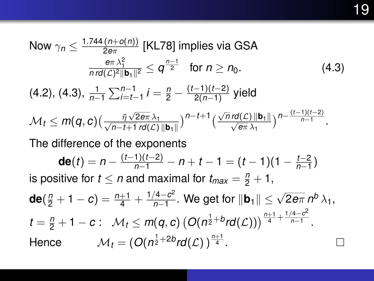Now 
$$
\gamma_n \leq \frac{1.744(n+o(n))}{2e\pi} [KL78]
$$
 implies via GSA  
\n
$$
\frac{e\pi \lambda_1^2}{nrd(C)^2 ||\mathbf{b}_1||^2} \leq q^{\frac{n-1}{2}}
$$
 for  $n \geq n_0$ . (4.3)  
\n(4.2), (4.3),  $\frac{1}{n-1} \sum_{i=t-1}^{n-1} i = \frac{n}{2} - \frac{(t-1)(t-2)}{2(n-1)}$  yield  
\n $\mathcal{M}_t \leq m(q, c) \left(\frac{\bar{\eta} \sqrt{2e\pi} \lambda_1}{\sqrt{n-t+1} rd(C) ||\mathbf{b}_1||}\right)^{n-t+1} \left(\frac{\sqrt{n} rd(C) ||\mathbf{b}_1||}{\sqrt{e\pi} \lambda_1}\right)^{n-\frac{(t-1)(t-2)}{n-1}}$ .  
\nThe difference of the exponents  
\n
$$
\mathbf{de}(t) = n - \frac{(t-1)(t-2)}{n-1} - n + t - 1 = (t-1)(1 - \frac{t-2}{n-1})
$$
  
\nis positive for  $t \leq n$  and maximal for  $t_{max} = \frac{n}{2} + 1$ ,  
\n
$$
\mathbf{de}(\frac{n}{2} + 1 - c) = \frac{n+1}{4} + \frac{1/4 - c^2}{n-1}
$$
. We get for  $||\mathbf{b}_1|| \leq \sqrt{2e\pi} n^b \lambda_1$ ,  
\n $t = \frac{n}{2} + 1 - c$ :  $\mathcal{M}_t \leq m(q, c) \left(\mathcal{O}(n^{\frac{1}{2} + b} rd(C))\right)^{\frac{n+1}{4} + \frac{1/4 - c^2}{n-1}}$ .

Hence  $\mathcal{M}_t = (\mathcal{O}(n^{\frac{1}{2}+2b}rd(\mathcal{L}))^{\frac{n+1}{4}}.$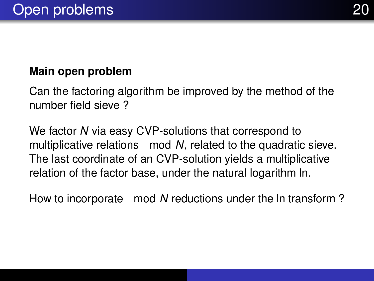#### **Main open problem**

Can the factoring algorithm be improved by the method of the number field sieve ?

We factor *N* via easy CVP-solutions that correspond to multiplicative relations mod *N*, related to the quadratic sieve. The last coordinate of an CVP-solution yields a multiplicative relation of the factor base, under the natural logarithm ln.

How to incorporate mod *N* reductions under the ln transform ?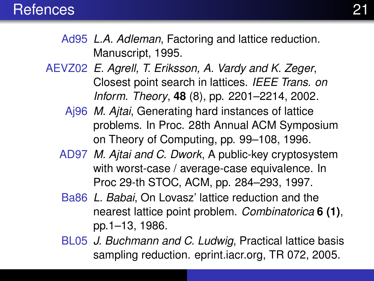- Ad95 *L.A. Adleman*, Factoring and lattice reduction. Manuscript, 1995.
- AEVZ02 *E. Agrell, T. Eriksson, A. Vardy and K. Zeger*, Closest point search in lattices. *IEEE Trans. on Inform. Theory*, **48** (8), pp. 2201–2214, 2002.
	- Aj96 *M. Ajtai*, Generating hard instances of lattice problems. In Proc. 28th Annual ACM Symposium on Theory of Computing, pp. 99–108, 1996.
	- AD97 *M. Ajtai and C. Dwork*, A public-key cryptosystem with worst-case / average-case equivalence. In Proc 29-th STOC, ACM, pp. 284–293, 1997.
	- Ba86 *L. Babai*, On Lovasz' lattice reduction and the nearest lattice point problem. *Combinatorica* **6 (1)**, pp.1–13, 1986.
	- BL05 *J. Buchmann and C. Ludwig*, Practical lattice basis sampling reduction. eprint.iacr.org, TR 072, 2005.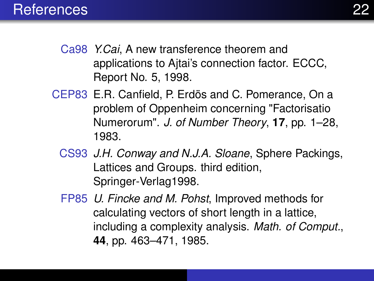- Ca98 *Y.Cai*, A new transference theorem and applications to Ajtai's connection factor. ECCC, Report No. 5, 1998.
- CEP83 E.R. Canfield, P. Erdös and C. Pomerance, On a problem of Oppenheim concerning "Factorisatio Numerorum". *J. of Number Theory*, **17**, pp. 1–28, 1983.
	- CS93 *J.H. Conway and N.J.A. Sloane*, Sphere Packings, Lattices and Groups. third edition, Springer-Verlag1998.
	- FP85 *U. Fincke and M. Pohst*, Improved methods for calculating vectors of short length in a lattice, including a complexity analysis. *Math. of Comput.*, **44**, pp. 463–471, 1985.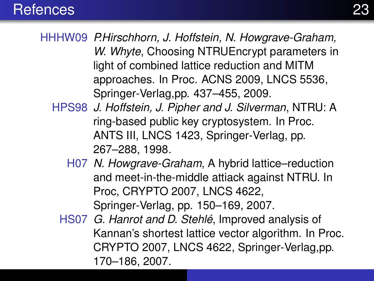HHHW09 *P.Hirschhorn, J. Hoffstein, N. Howgrave-Graham, W. Whyte*, Choosing NTRUEncrypt parameters in light of combined lattice reduction and MITM approaches. In Proc. ACNS 2009, LNCS 5536, Springer-Verlag,pp. 437–455, 2009.

- HPS98 *J. Hoffstein, J. Pipher and J. Silverman*, NTRU: A ring-based public key cryptosystem. In Proc. ANTS III, LNCS 1423, Springer-Verlag, pp. 267–288, 1998.
	- H07 *N. Howgrave-Graham*, A hybrid lattice–reduction and meet-in-the-middle attiack against NTRU. In Proc, CRYPTO 2007, LNCS 4622, Springer-Verlag, pp. 150–169, 2007.
	- HS07 *G. Hanrot and D. Stehlé*, Improved analysis of Kannan's shortest lattice vector algorithm. In Proc. CRYPTO 2007, LNCS 4622, Springer-Verlag,pp. 170–186, 2007.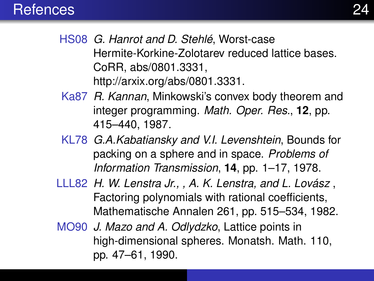- HS08 *G. Hanrot and D. Stehlé*, Worst-case Hermite-Korkine-Zolotarev reduced lattice bases. CoRR, abs/0801.3331, http://arxix.org/abs/0801.3331.
- Ka87 *R. Kannan*, Minkowski's convex body theorem and integer programming. *Math. Oper. Res.*, **12**, pp. 415–440, 1987.
- KL78 *G.A.Kabatiansky and V.I. Levenshtein*, Bounds for packing on a sphere and in space. *Problems of Information Transmission*, **14**, pp. 1–17, 1978.
- LLL82 *H. W. Lenstra Jr., , A. K. Lenstra, and L. Lovász* , Factoring polynomials with rational coefficients, Mathematische Annalen 261, pp. 515–534, 1982.
- MO90 *J. Mazo and A. Odlydzko*, Lattice points in high-dimensional spheres. Monatsh. Math. 110, pp. 47–61, 1990.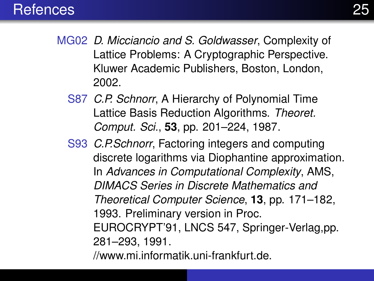- MG02 *D. Micciancio and S. Goldwasser*, Complexity of Lattice Problems: A Cryptographic Perspective. Kluwer Academic Publishers, Boston, London, 2002.
	- S87 *C.P. Schnorr*, A Hierarchy of Polynomial Time Lattice Basis Reduction Algorithms. *Theoret. Comput. Sci.*, **53**, pp. 201–224, 1987.
	- S93 *C.P.Schnorr*, Factoring integers and computing discrete logarithms via Diophantine approximation. In *Advances in Computational Complexity*, AMS, *DIMACS Series in Discrete Mathematics and Theoretical Computer Science*, **13**, pp. 171–182, 1993. Preliminary version in Proc. EUROCRYPT'91, LNCS 547, Springer-Verlag,pp. 281–293, 1991.

//www.mi.informatik.uni-frankfurt.de.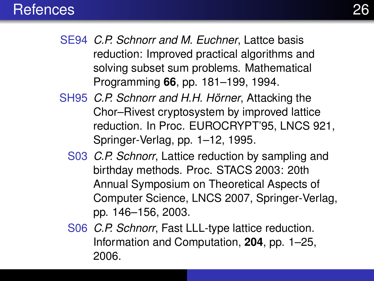- SE94 *C.P. Schnorr and M. Euchner*, Lattce basis reduction: Improved practical algorithms and solving subset sum problems. Mathematical Programming **66**, pp. 181–199, 1994.
- SH95 *C.P. Schnorr and H.H. Hörner*, Attacking the Chor–Rivest cryptosystem by improved lattice reduction. In Proc. EUROCRYPT'95, LNCS 921, Springer-Verlag, pp. 1–12, 1995.
	- S03 *C.P. Schnorr*, Lattice reduction by sampling and birthday methods. Proc. STACS 2003: 20th Annual Symposium on Theoretical Aspects of Computer Science, LNCS 2007, Springer-Verlag, pp. 146–156, 2003.
	- S06 *C.P. Schnorr*, Fast LLL-type lattice reduction. Information and Computation, **204**, pp. 1–25, 2006.